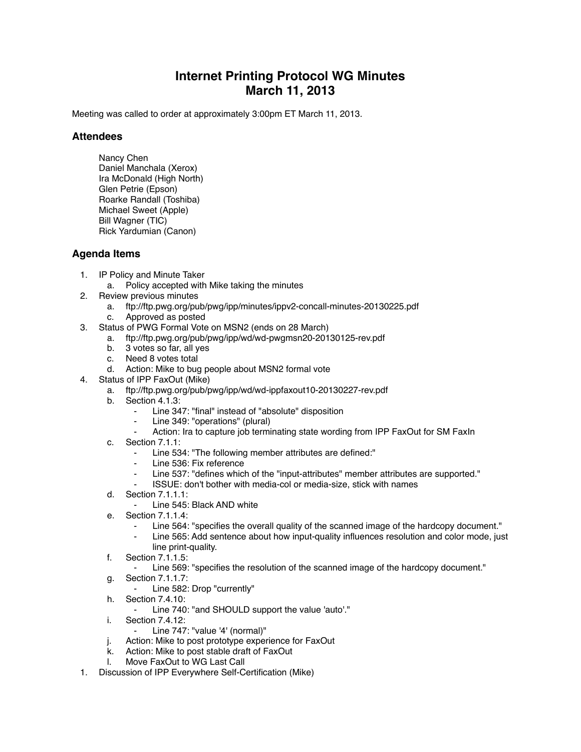## **Internet Printing Protocol WG Minutes March 11, 2013**

Meeting was called to order at approximately 3:00pm ET March 11, 2013.

## **Attendees**

Nancy Chen Daniel Manchala (Xerox) Ira McDonald (High North) Glen Petrie (Epson) Roarke Randall (Toshiba) Michael Sweet (Apple) Bill Wagner (TIC) Rick Yardumian (Canon)

## **Agenda Items**

- 1. IP Policy and Minute Taker
	- a. Policy accepted with Mike taking the minutes
- 2. Review previous minutes
	- a. ftp://ftp.pwg.org/pub/pwg/ipp/minutes/ippv2-concall-minutes-20130225.pdf
	- c. Approved as posted
- 3. Status of PWG Formal Vote on MSN2 (ends on 28 March)
	- a. ftp://ftp.pwg.org/pub/pwg/ipp/wd/wd-pwgmsn20-20130125-rev.pdf
		- b. 3 votes so far, all yes
		- c. Need 8 votes total
		- d. Action: Mike to bug people about MSN2 formal vote
- 4. Status of IPP FaxOut (Mike)
	- a. ftp://ftp.pwg.org/pub/pwg/ipp/wd/wd-ippfaxout10-20130227-rev.pdf
	- b. Section 4.1.3:
		- Line 347: "final" instead of "absolute" disposition
		- Line 349: "operations" (plural)
		- Action: Ira to capture job terminating state wording from IPP FaxOut for SM FaxIn
	- c. Section 7.1.1:
		- Line 534: "The following member attributes are defined:"
		- ⁃ Line 536: Fix reference
		- Line 537: "defines which of the "input-attributes" member attributes are supported."
		- ISSUE: don't bother with media-col or media-size, stick with names
	- d. Section 7.1.1.1:
		- ⁃ Line 545: Black AND white
	- e. Section 7.1.1.4:
		- ⁃ Line 564: "specifies the overall quality of the scanned image of the hardcopy document."
		- Line 565: Add sentence about how input-quality influences resolution and color mode, just line print-quality.
	- f. Section 7.1.1.5:
		- ⁃ Line 569: "specifies the resolution of the scanned image of the hardcopy document."
	- g. Section 7.1.1.7:
		- ⁃ Line 582: Drop "currently"
	- h. Section 7.4.10:
	- Line 740: "and SHOULD support the value 'auto'."
	- i. Section 7.4.12:
		- ⁃ Line 747: "value '4' (normal)"
	- j. Action: Mike to post prototype experience for FaxOut
	- k. Action: Mike to post stable draft of FaxOut
	- l. Move FaxOut to WG Last Call
- 1. Discussion of IPP Everywhere Self-Certification (Mike)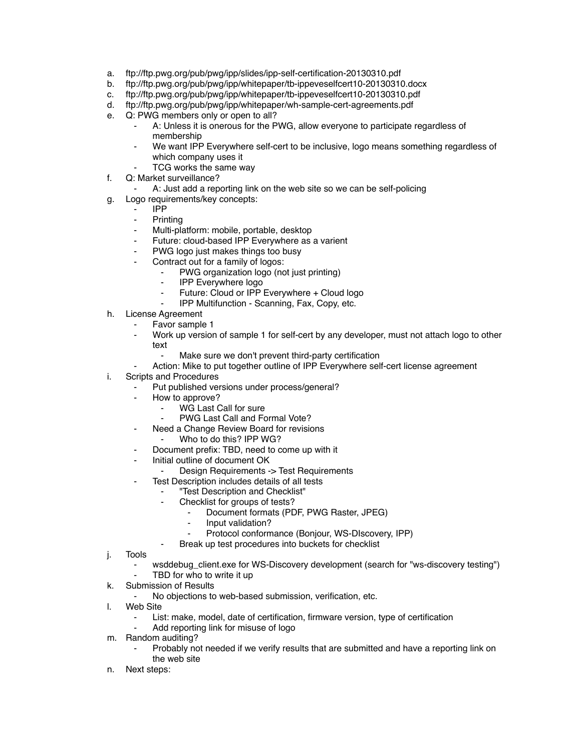- a. ftp://ftp.pwg.org/pub/pwg/ipp/slides/ipp-self-certification-20130310.pdf
- b. ftp://ftp.pwg.org/pub/pwg/ipp/whitepaper/tb-ippeveselfcert10-20130310.docx
- c. ftp://ftp.pwg.org/pub/pwg/ipp/whitepaper/tb-ippeveselfcert10-20130310.pdf
- d. ftp://ftp.pwg.org/pub/pwg/ipp/whitepaper/wh-sample-cert-agreements.pdf
- e. Q: PWG members only or open to all?
	- A: Unless it is onerous for the PWG, allow everyone to participate regardless of membership
	- ⁃ We want IPP Everywhere self-cert to be inclusive, logo means something regardless of which company uses it
		- TCG works the same way
- f. Q: Market surveillance?
	- A: Just add a reporting link on the web site so we can be self-policing
- g. Logo requirements/key concepts:
	- ⁃ IPP
		- **Printing**
		- Multi-platform: mobile, portable, desktop
		- Future: cloud-based IPP Everywhere as a varient
	- ⁃ PWG logo just makes things too busy
	- Contract out for a family of logos:
		- PWG organization logo (not just printing)
		- **IPP Everywhere logo**
		- Future: Cloud or IPP Everywhere + Cloud logo
		- IPP Multifunction Scanning, Fax, Copy, etc.
- h. License Agreement
	- Favor sample 1
	- Work up version of sample 1 for self-cert by any developer, must not attach logo to other text
		- Make sure we don't prevent third-party certification
	- Action: Mike to put together outline of IPP Everywhere self-cert license agreement
- i. Scripts and Procedures
	- Put published versions under process/general?
	- ⁃ How to approve?
		- WG Last Call for sure
		- PWG Last Call and Formal Vote?
	- ⁃ Need a Change Review Board for revisions
		- Who to do this? IPP WG?
		- Document prefix: TBD, need to come up with it
	- Initial outline of document OK
		- Design Requirements -> Test Requirements
		- Test Description includes details of all tests
			- ⁃ "Test Description and Checklist"
			- Checklist for groups of tests?
				- Document formats (PDF, PWG Raster, JPEG)
				- ⁃ Input validation?
				- Protocol conformance (Bonjour, WS-DIscovery, IPP)
				- Break up test procedures into buckets for checklist
- j. Tools
	- wsddebug\_client.exe for WS-Discovery development (search for "ws-discovery testing")
	- TBD for who to write it up
- k. Submission of Results
	- ⁃ No objections to web-based submission, verification, etc.
- l. Web Site
	- List: make, model, date of certification, firmware version, type of certification
	- Add reporting link for misuse of logo
- m. Random auditing?
	- Probably not needed if we verify results that are submitted and have a reporting link on the web site
- n. Next steps: